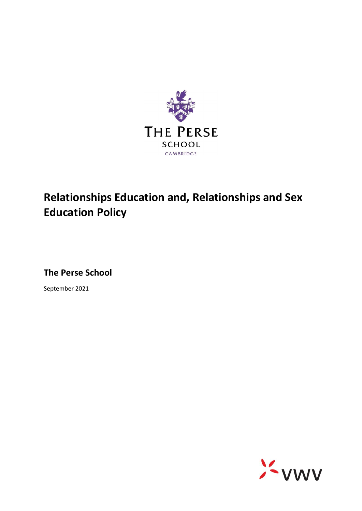

# **Relationships Education and, Relationships and Sex Education Policy**

**The Perse School**

September 2021

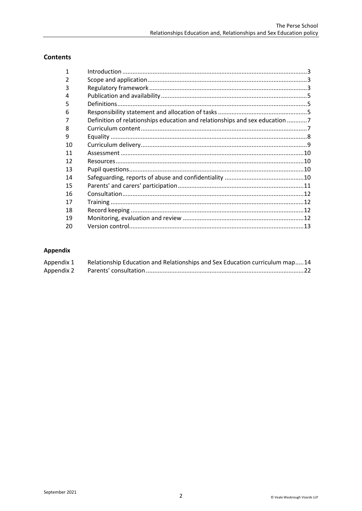## **Contents**

| 1  |                                                                             |  |
|----|-----------------------------------------------------------------------------|--|
| 2  |                                                                             |  |
| 3  |                                                                             |  |
| 4  |                                                                             |  |
| 5  |                                                                             |  |
| 6  |                                                                             |  |
|    | Definition of relationships education and relationships and sex education 7 |  |
| 8  |                                                                             |  |
| 9  |                                                                             |  |
| 10 |                                                                             |  |
| 11 |                                                                             |  |
| 12 |                                                                             |  |
| 13 |                                                                             |  |
| 14 |                                                                             |  |
| 15 |                                                                             |  |
| 16 |                                                                             |  |
| 17 |                                                                             |  |
| 18 |                                                                             |  |
| 19 |                                                                             |  |
| 20 |                                                                             |  |

# Appendix

| Appendix 1 | Relationship Education and Relationships and Sex Education curriculum map14 |  |
|------------|-----------------------------------------------------------------------------|--|
| Appendix 2 |                                                                             |  |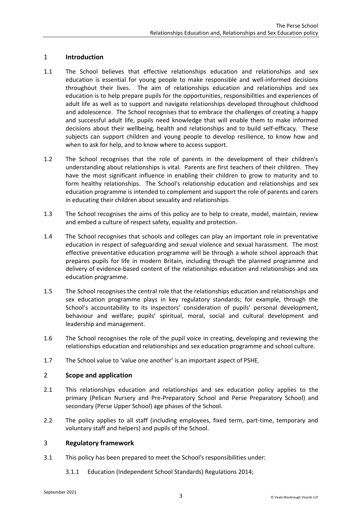## <span id="page-2-0"></span>1 **Introduction**

- 1.1 The School believes that effective relationships education and relationships and sex education is essential for young people to make responsible and well-informed decisions throughout their lives. The aim of relationships education and relationships and sex education is to help prepare pupils for the opportunities, responsibilities and experiences of adult life as well as to support and navigate relationships developed throughout childhood and adolescence. The School recognises that to embrace the challenges of creating a happy and successful adult life, pupils need knowledge that will enable them to make informed decisions about their wellbeing, health and relationships and to build self-efficacy. These subjects can support children and young people to develop resilience, to know how and when to ask for help, and to know where to access support.
- 1.2 The School recognises that the role of parents in the development of their children's understanding about relationships is vital. Parents are first teachers of their children. They have the most significant influence in enabling their children to grow to maturity and to form healthy relationships. The School's relationship education and relationships and sex education programme is intended to complement and support the role of parents and carers in educating their children about sexuality and relationships.
- 1.3 The School recognises the aims of this policy are to help to create, model, maintain, review and embed a culture of respect safety, equality and protection.
- 1.4 The School recognises that schools and colleges can play an important role in preventative education in respect of safeguarding and sexual violence and sexual harassment. The most effective preventative education programme will be through a whole school approach that prepares pupils for life in modern Britain, including through the planned programme and delivery of evidence-based content of the relationships education and relationships and sex education programme.
- 1.5 The School recognises the central role that the relationships education and relationships and sex education programme plays in key regulatory standards; for example, through the School's accountability to its inspectors' consideration of pupils' personal development, behaviour and welfare; pupils' spiritual, moral, social and cultural development and leadership and management.
- 1.6 The School recognises the role of the pupil voice in creating, developing and reviewing the relationships education and relationships and sex education programme and school culture.
- 1.7 The School value to 'value one another' is an important aspect of PSHE.

## <span id="page-2-1"></span>2 **Scope and application**

- 2.1 This relationships education and relationships and sex education policy applies to the primary (Pelican Nursery and Pre-Preparatory School and Perse Preparatory School) and secondary (Perse Upper School) age phases of the School.
- 2.2 The policy applies to all staff (including employees, fixed term, part-time, temporary and voluntary staff and helpers) and pupils of the School.

#### <span id="page-2-2"></span>3 **Regulatory framework**

- 3.1 This policy has been prepared to meet the School's responsibilities under:
	- 3.1.1 Education (Independent School Standards) Regulations 2014;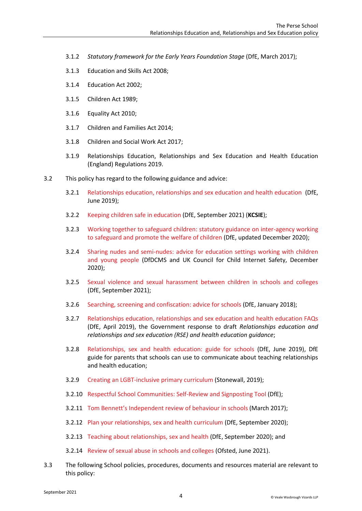- 3.1.2 *Statutory framework for the Early Years Foundation Stage* (DfE, March 2017);
- 3.1.3 Education and Skills Act 2008;
- 3.1.4 Education Act 2002;
- 3.1.5 Children Act 1989;
- 3.1.6 Equality Act 2010;
- 3.1.7 Children and Families Act 2014;
- 3.1.8 Children and Social Work Act 2017;
- 3.1.9 Relationships Education, Relationships and Sex Education and Health Education (England) Regulations 2019.
- 3.2 This policy has regard to the following guidance and advice:
	- 3.2.1 [Relationships education, relationships and sex education and health education](https://www.gov.uk/government/publications/relationships-education-relationships-and-sex-education-rse-and-health-education) (DfE, June 2019);
	- 3.2.2 [Keeping children safe in education \(](https://www.gov.uk/government/publications/keeping-children-safe-in-education--2)DfE, September 2021) (**KCSIE**);
	- 3.2.3 [Working together to safeguard children: statutory guidance on inter-agency working](https://www.gov.uk/government/publications/working-together-to-safeguard-children--2)  [to safeguard and promote the welfare of children](https://www.gov.uk/government/publications/working-together-to-safeguard-children--2) (DfE, updated December 2020);
	- 3.2.4 [Sharing nudes and semi-nudes: advice for education settings working with children](https://www.gov.uk/government/publications/sharing-nudes-and-semi-nudes-advice-for-education-settings-working-with-children-and-young-people)  [and young people](https://www.gov.uk/government/publications/sharing-nudes-and-semi-nudes-advice-for-education-settings-working-with-children-and-young-people) (DfDCMS and UK Council for Child Internet Safety, December 2020);
	- 3.2.5 [Sexual violence and sexual harassment between children in schools and colleges](https://www.gov.uk/government/uploads/system/uploads/attachment_data/file/667862/Sexual_Harassment_and_Sexual_Violence_-_Advice.pdf)  (DfE, September 2021);
	- 3.2.6 [Searching, screening and confiscation: advice for schools](https://assets.publishing.service.gov.uk/government/uploads/system/uploads/attachment_data/file/674416/Searching_screening_and_confiscation.pdf) (DfE, January 2018);
	- 3.2.7 [Relationships education, relationships and sex education and health education FAQs](https://www.gov.uk/government/news/relationships-education-relationships-and-sex-education-rse-and-health-education-faqs) (DfE, April 2019), the Government response to draft *Relationships education and relationships and sex education (RSE) and health education guidance*;
	- 3.2.8 [Relationships, sex and health education: guide for schools](https://www.gov.uk/government/publications/relationships-education-relationships-and-sex-education-rse-and-health-education) (DfE, June 2019), DfE guide for parents that schools can use to communicate about teaching relationships and health education;
	- 3.2.9 [Creating an LGBT-inclusive primary curriculum](https://www.stonewall.org.uk/resources/creating-lgbt-inclusive-primary-curriculum) (Stonewall, 2019);
	- 3.2.10 [Respectful School Communities: Self-Review and Signposting Tool](https://educateagainsthate.com/resources/respectful-school-communities-self-review-signposting-tool-2/) (DfE);
	- 3.2.11 Tom Bennett's Indep[endent review of behaviour in schools](https://www.gov.uk/government/publications/behaviour-in-schools) (March 2017);
	- 3.2.12 [Plan your relationships, sex and health curriculum](https://www.gov.uk/guidance/plan-your-relationships-sex-and-health-curriculum) (DfE, September 2020);
	- 3.2.13 [Teaching about relationships, sex and health](https://www.gov.uk/guidance/teaching-about-relationships-sex-and-health) (DfE, September 2020); and
	- 3.2.14 [Review of sexual abuse in schools and colleges](https://www.gov.uk/government/publications/review-of-sexual-abuse-in-schools-and-colleges/review-of-sexual-abuse-in-schools-and-colleges) (Ofsted, June 2021).
- 3.3 The following School policies, procedures, documents and resources material are relevant to this policy: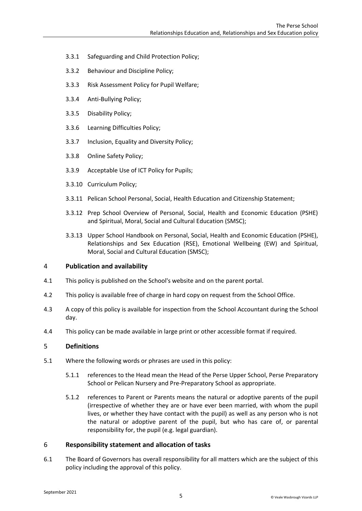- 3.3.1 Safeguarding and Child Protection Policy;
- 3.3.2 Behaviour and Discipline Policy;
- 3.3.3 Risk Assessment Policy for Pupil Welfare;
- 3.3.4 Anti-Bullying Policy;
- 3.3.5 Disability Policy;
- 3.3.6 Learning Difficulties Policy;
- 3.3.7 Inclusion, Equality and Diversity Policy;
- 3.3.8 Online Safety Policy;
- 3.3.9 Acceptable Use of ICT Policy for Pupils;
- 3.3.10 Curriculum Policy;
- 3.3.11 Pelican School Personal, Social, Health Education and Citizenship Statement;
- 3.3.12 Prep School Overview of Personal, Social, Health and Economic Education (PSHE) and Spiritual, Moral, Social and Cultural Education (SMSC);
- 3.3.13 Upper School Handbook on Personal, Social, Health and Economic Education (PSHE), Relationships and Sex Education (RSE), Emotional Wellbeing (EW) and Spiritual, Moral, Social and Cultural Education (SMSC);

#### <span id="page-4-0"></span>4 **Publication and availability**

- 4.1 This policy is published on the School's website and on the parent portal.
- 4.2 This policy is available free of charge in hard copy on request from the School Office.
- 4.3 A copy of this policy is available for inspection from the School Accountant during the School day.
- 4.4 This policy can be made available in large print or other accessible format if required.

#### <span id="page-4-1"></span>5 **Definitions**

- 5.1 Where the following words or phrases are used in this policy:
	- 5.1.1 references to the Head mean the Head of the Perse Upper School, Perse Preparatory School or Pelican Nursery and Pre-Preparatory School as appropriate.
	- 5.1.2 references to Parent or Parents means the natural or adoptive parents of the pupil (irrespective of whether they are or have ever been married, with whom the pupil lives, or whether they have contact with the pupil) as well as any person who is not the natural or adoptive parent of the pupil, but who has care of, or parental responsibility for, the pupil (e.g. legal guardian).

#### <span id="page-4-2"></span>6 **Responsibility statement and allocation of tasks**

6.1 The Board of Governors has overall responsibility for all matters which are the subject of this policy including the approval of this policy.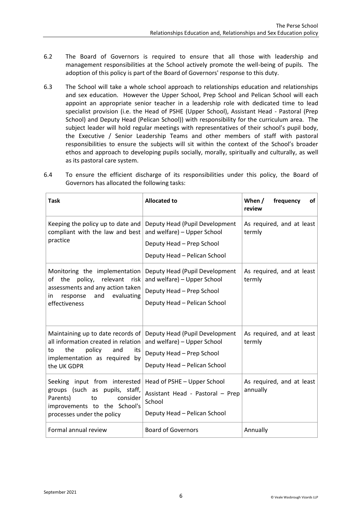- 6.2 The Board of Governors is required to ensure that all those with leadership and management responsibilities at the School actively promote the well-being of pupils. The adoption of this policy is part of the Board of Governors' response to this duty.
- 6.3 The School will take a whole school approach to relationships education and relationships and sex education. However the Upper School, Prep School and Pelican School will each appoint an appropriate senior teacher in a leadership role with dedicated time to lead specialist provision (i.e. the Head of PSHE (Upper School), Assistant Head - Pastoral (Prep School) and Deputy Head (Pelican School)) with responsibility for the curriculum area. The subject leader will hold regular meetings with representatives of their school's pupil body, the Executive / Senior Leadership Teams and other members of staff with pastoral responsibilities to ensure the subjects will sit within the context of the School's broader ethos and approach to developing pupils socially, morally, spiritually and culturally, as well as its pastoral care system.

| Task |                                              | <b>Allocated to</b>                                                                       | When / | frequency | of ⊟ |
|------|----------------------------------------------|-------------------------------------------------------------------------------------------|--------|-----------|------|
| 6.4  | Governors has allocated the following tasks: | To ensure the efficient discharge of its responsibilities under this policy, the Board of |        |           |      |

| i ask                                                                                                                                                           | Allocated to                                                                                                               | wnen /<br><b>Trequency</b><br>OT<br>review |
|-----------------------------------------------------------------------------------------------------------------------------------------------------------------|----------------------------------------------------------------------------------------------------------------------------|--------------------------------------------|
| Keeping the policy up to date and<br>compliant with the law and best<br>practice                                                                                | Deputy Head (Pupil Development<br>and welfare) - Upper School<br>Deputy Head - Prep School<br>Deputy Head - Pelican School | As required, and at least<br>termly        |
| Monitoring the implementation<br>of the<br>policy, relevant<br>risk<br>assessments and any action taken<br>evaluating<br>response<br>and<br>in<br>effectiveness | Deputy Head (Pupil Development<br>and welfare) - Upper School<br>Deputy Head - Prep School<br>Deputy Head - Pelican School | As required, and at least<br>termly        |
| Maintaining up to date records of<br>all information created in relation<br>the<br>policy<br>and<br>its<br>to<br>implementation as required by<br>the UK GDPR   | Deputy Head (Pupil Development<br>and welfare) - Upper School<br>Deputy Head - Prep School<br>Deputy Head - Pelican School | As required, and at least<br>termly        |
| Seeking input from interested<br>groups (such as pupils, staff,<br>Parents)<br>consider<br>to<br>improvements to the School's<br>processes under the policy     | Head of PSHE - Upper School<br>Assistant Head - Pastoral - Prep<br>School<br>Deputy Head - Pelican School                  | As required, and at least<br>annually      |
| Formal annual review                                                                                                                                            | <b>Board of Governors</b>                                                                                                  | Annually                                   |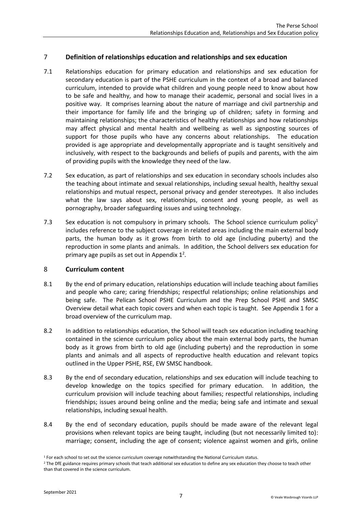## <span id="page-6-0"></span>7 **Definition of relationships education and relationships and sex education**

- 7.1 Relationships education for primary education and relationships and sex education for secondary education is part of the PSHE curriculum in the context of a broad and balanced curriculum, intended to provide what children and young people need to know about how to be safe and healthy, and how to manage their academic, personal and social lives in a positive way. It comprises learning about the nature of marriage and civil partnership and their importance for family life and the bringing up of children; safety in forming and maintaining relationships; the characteristics of healthy relationships and how relationships may affect physical and mental health and wellbeing as well as signposting sources of support for those pupils who have any concerns about relationships. The education provided is age appropriate and developmentally appropriate and is taught sensitively and inclusively, with respect to the backgrounds and beliefs of pupils and parents, with the aim of providing pupils with the knowledge they need of the law.
- 7.2 Sex education, as part of relationships and sex education in secondary schools includes also the teaching about intimate and sexual relationships, including sexual health, healthy sexual relationships and mutual respect, personal privacy and gender stereotypes. It also includes what the law says about sex, relationships, consent and young people, as well as pornography, broader safeguarding issues and using technology.
- 7.3 Sex education is not compulsory in primary schools. The School science curriculum policy<sup>1</sup> includes reference to the subject coverage in related areas including the main external body parts, the human body as it grows from birth to old age (including puberty) and the reproduction in some plants and animals. In addition, the School delivers sex education for primary age pupils as set out in Appendix  $1^2$ .

#### <span id="page-6-1"></span>8 **Curriculum content**

- 8.1 By the end of primary education, relationships education will include teaching about families and people who care; caring friendships; respectful relationships; online relationships and being safe. The Pelican School PSHE Curriculum and the Prep School PSHE and SMSC Overview detail what each topic covers and when each topic is taught. See Appendix 1 for a broad overview of the curriculum map.
- 8.2 In addition to relationships education, the School will teach sex education including teaching contained in the science curriculum policy about the main external body parts, the human body as it grows from birth to old age (including puberty) and the reproduction in some plants and animals and all aspects of reproductive health education and relevant topics outlined in the Upper PSHE, RSE, EW SMSC handbook.
- 8.3 By the end of secondary education, relationships and sex education will include teaching to develop knowledge on the topics specified for primary education. In addition, the curriculum provision will include teaching about families; respectful relationships, including friendships; issues around being online and the media; being safe and intimate and sexual relationships, including sexual health.
- 8.4 By the end of secondary education, pupils should be made aware of the relevant legal provisions when relevant topics are being taught, including (but not necessarily limited to): marriage; consent, including the age of consent; violence against women and girls, online

<sup>1</sup> For each school to set out the science curriculum coverage notwithstanding the National Curriculum status.

<sup>&</sup>lt;sup>2</sup> The DfE guidance requires primary schools that teach additional sex education to define any sex education they choose to teach other than that covered in the science curriculum.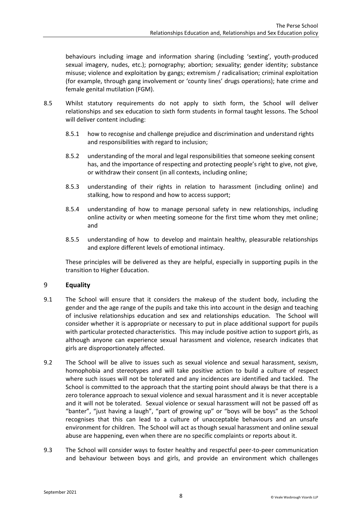behaviours including image and information sharing (including 'sexting', youth-produced sexual imagery, nudes, etc.); pornography; abortion; sexuality; gender identity; substance misuse; violence and exploitation by gangs; extremism / radicalisation; criminal exploitation (for example, through gang involvement or 'county lines' drugs operations); hate crime and female genital mutilation (FGM).

- 8.5 Whilst statutory requirements do not apply to sixth form, the School will deliver relationships and sex education to sixth form students in formal taught lessons. The School will deliver content including:
	- 8.5.1 how to recognise and challenge prejudice and discrimination and understand rights and responsibilities with regard to inclusion;
	- 8.5.2 understanding of the moral and legal responsibilities that someone seeking consent has, and the importance of respecting and protecting people's right to give, not give, or withdraw their consent (in all contexts, including online;
	- 8.5.3 understanding of their rights in relation to harassment (including online) and stalking, how to respond and how to access support;
	- 8.5.4 understanding of how to manage personal safety in new relationships, including online activity or when meeting someone for the first time whom they met online; and
	- 8.5.5 understanding of how to develop and maintain healthy, pleasurable relationships and explore different levels of emotional intimacy.

These principles will be delivered as they are helpful, especially in supporting pupils in the transition to Higher Education.

## <span id="page-7-0"></span>9 **Equality**

- 9.1 The School will ensure that it considers the makeup of the student body, including the gender and the age range of the pupils and take this into account in the design and teaching of inclusive relationships education and sex and relationships education. The School will consider whether it is appropriate or necessary to put in place additional support for pupils with particular protected characteristics. This may include positive action to support girls, as although anyone can experience sexual harassment and violence, research indicates that girls are disproportionately affected.
- 9.2 The School will be alive to issues such as sexual violence and sexual harassment, sexism, homophobia and stereotypes and will take positive action to build a culture of respect where such issues will not be tolerated and any incidences are identified and tackled. The School is committed to the approach that the starting point should always be that there is a zero tolerance approach to sexual violence and sexual harassment and it is never acceptable and it will not be tolerated. Sexual violence or sexual harassment will not be passed off as "banter", "just having a laugh", "part of growing up" or "boys will be boys" as the School recognises that this can lead to a culture of unacceptable behaviours and an unsafe environment for children. The School will act as though sexual harassment and online sexual abuse are happening, even when there are no specific complaints or reports about it.
- 9.3 The School will consider ways to foster healthy and respectful peer-to-peer communication and behaviour between boys and girls, and provide an environment which challenges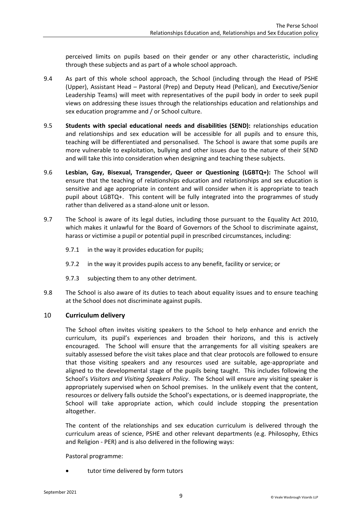perceived limits on pupils based on their gender or any other characteristic, including through these subjects and as part of a whole school approach.

- 9.4 As part of this whole school approach, the School (including through the Head of PSHE (Upper), Assistant Head – Pastoral (Prep) and Deputy Head (Pelican), and Executive/Senior Leadership Teams) will meet with representatives of the pupil body in order to seek pupil views on addressing these issues through the relationships education and relationships and sex education programme and / or School culture.
- 9.5 **Students with special educational needs and disabilities (SEND):** relationships education and relationships and sex education will be accessible for all pupils and to ensure this, teaching will be differentiated and personalised. The School is aware that some pupils are more vulnerable to exploitation, bullying and other issues due to the nature of their SEND and will take this into consideration when designing and teaching these subjects.
- 9.6 **Lesbian, Gay, Bisexual, Transgender, Queer or Questioning (LGBTQ+):** The School will ensure that the teaching of relationships education and relationships and sex education is sensitive and age appropriate in content and will consider when it is appropriate to teach pupil about LGBTQ+. This content will be fully integrated into the programmes of study rather than delivered as a stand-alone unit or lesson.
- 9.7 The School is aware of its legal duties, including those pursuant to the Equality Act 2010, which makes it unlawful for the Board of Governors of the School to discriminate against, harass or victimise a pupil or potential pupil in prescribed circumstances, including:
	- 9.7.1 in the way it provides education for pupils;
	- 9.7.2 in the way it provides pupils access to any benefit, facility or service; or
	- 9.7.3 subjecting them to any other detriment.
- 9.8 The School is also aware of its duties to teach about equality issues and to ensure teaching at the School does not discriminate against pupils.

## <span id="page-8-0"></span>10 **Curriculum delivery**

The School often invites visiting speakers to the School to help enhance and enrich the curriculum, its pupil's experiences and broaden their horizons, and this is actively encouraged. The School will ensure that the arrangements for all visiting speakers are suitably assessed before the visit takes place and that clear protocols are followed to ensure that those visiting speakers and any resources used are suitable, age-appropriate and aligned to the developmental stage of the pupils being taught. This includes following the School's *Visitors and Visiting Speakers Policy*. The School will ensure any visiting speaker is appropriately supervised when on School premises. In the unlikely event that the content, resources or delivery falls outside the School's expectations, or is deemed inappropriate, the School will take appropriate action, which could include stopping the presentation altogether.

The content of the relationships and sex education curriculum is delivered through the curriculum areas of science, PSHE and other relevant departments (e.g. Philosophy, Ethics and Religion - PER) and is also delivered in the following ways:

Pastoral programme:

tutor time delivered by form tutors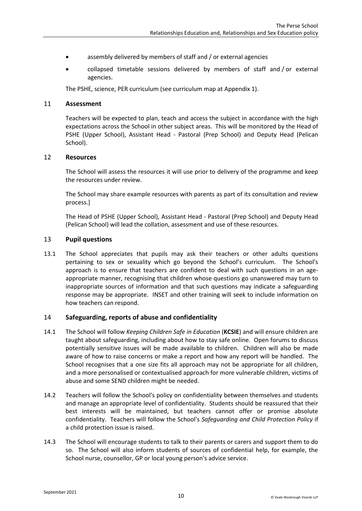- assembly delivered by members of staff and / or external agencies
- collapsed timetable sessions delivered by members of staff and / or external agencies.

The PSHE, science, PER curriculum (see curriculum map at Appendix 1).

#### <span id="page-9-0"></span>11 **Assessment**

Teachers will be expected to plan, teach and access the subject in accordance with the high expectations across the School in other subject areas. This will be monitored by the Head of PSHE (Upper School), Assistant Head - Pastoral (Prep School) and Deputy Head (Pelican School).

#### <span id="page-9-1"></span>12 **Resources**

The School will assess the resources it will use prior to delivery of the programme and keep the resources under review.

The School may share example resources with parents as part of its consultation and review process.]

The Head of PSHE (Upper School), Assistant Head - Pastoral (Prep School) and Deputy Head (Pelican School) will lead the collation, assessment and use of these resources.

#### <span id="page-9-2"></span>13 **Pupil questions**

13.1 The School appreciates that pupils may ask their teachers or other adults questions pertaining to sex or sexuality which go beyond the School's curriculum. The School's approach is to ensure that teachers are confident to deal with such questions in an ageappropriate manner, recognising that children whose questions go unanswered may turn to inappropriate sources of information and that such questions may indicate a safeguarding response may be appropriate. INSET and other training will seek to include information on how teachers can respond.

#### <span id="page-9-3"></span>14 **Safeguarding, reports of abuse and confidentiality**

- 14.1 The School will follow *Keeping Children Safe in Education* (**KCSIE**) and will ensure children are taught about safeguarding, including about how to stay safe online. Open forums to discuss potentially sensitive issues will be made available to children. Children will also be made aware of how to raise concerns or make a report and how any report will be handled. The School recognises that a one size fits all approach may not be appropriate for all children, and a more personalised or contextualised approach for more vulnerable children, victims of abuse and some SEND children might be needed.
- 14.2 Teachers will follow the School's policy on confidentiality between themselves and students and manage an appropriate level of confidentiality. Students should be reassured that their best interests will be maintained, but teachers cannot offer or promise absolute confidentiality. Teachers will follow the School's *Safeguarding and Child Protection Policy* if a child protection issue is raised.
- 14.3 The School will encourage students to talk to their parents or carers and support them to do so. The School will also inform students of sources of confidential help, for example, the School nurse, counsellor, GP or local young person's advice service.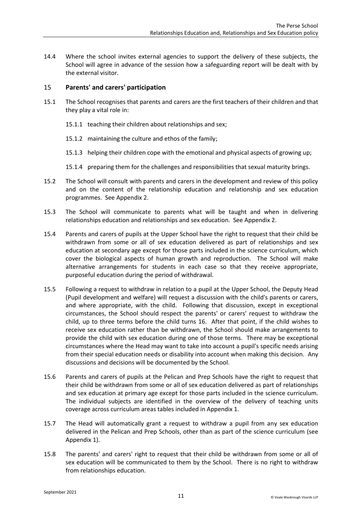14.4 Where the school invites external agencies to support the delivery of these subjects, the School will agree in advance of the session how a safeguarding report will be dealt with by the external visitor.

## <span id="page-10-0"></span>15 **Parents' and carers' participation**

- 15.1 The School recognises that parents and carers are the first teachers of their children and that they play a vital role in:
	- 15.1.1 teaching their children about relationships and sex;
	- 15.1.2 maintaining the culture and ethos of the family;
	- 15.1.3 helping their children cope with the emotional and physical aspects of growing up;
	- 15.1.4 preparing them for the challenges and responsibilities that sexual maturity brings.
- 15.2 The School will consult with parents and carers in the development and review of this policy and on the content of the relationship education and relationship and sex education programmes. See Appendix 2.
- 15.3 The School will communicate to parents what will be taught and when in delivering relationships education and relationships and sex education. See Appendix 2.
- <span id="page-10-1"></span>15.4 Parents and carers of pupils at the Upper School have the right to request that their child be withdrawn from some or all of sex education delivered as part of relationships and sex education at secondary age except for those parts included in the science curriculum, which cover the biological aspects of human growth and reproduction. The School will make alternative arrangements for students in each case so that they receive appropriate, purposeful education during the period of withdrawal.
- <span id="page-10-2"></span>15.5 Following a request to withdraw in relation to a pupil at the Upper School, the Deputy Head (Pupil development and welfare) will request a discussion with the child's parents or carers, and where appropriate, with the child. Following that discussion, except in exceptional circumstances, the School should respect the parents' or carers' request to withdraw the child, up to three terms before the child turns 16. After that point, if the child wishes to receive sex education rather than be withdrawn, the School should make arrangements to provide the child with sex education during one of those terms. There may be exceptional circumstances where the Head may want to take into account a pupil's specific needs arising from their special education needs or disability into account when making this decision. Any discussions and decisions will be documented by the School.
- 15.6 Parents and carers of pupils at the Pelican and Prep Schools have the right to request that their child be withdrawn from some or all of sex education delivered as part of relationships and sex education at primary age except for those parts included in the science curriculum. The individual subjects are identified in the overview of the delivery of teaching units coverage across curriculum areas tables included in Appendix 1.
- 15.7 The Head will automatically grant a request to withdraw a pupil from any sex education delivered in the Pelican and Prep Schools, other than as part of the science curriculum (see Appendix 1).
- 15.8 The parents' and carers' right to request that their child be withdrawn from some or all of sex education will be communicated to them by the School. There is no right to withdraw from relationships education.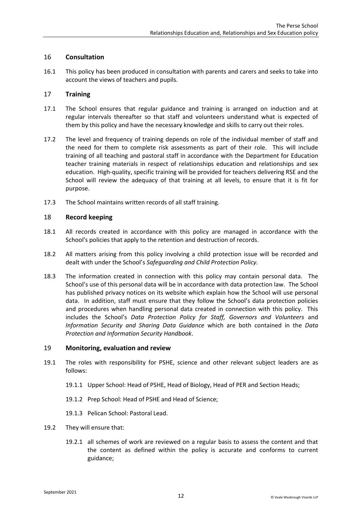## <span id="page-11-0"></span>16 **Consultation**

16.1 This policy has been produced in consultation with parents and carers and seeks to take into account the views of teachers and pupils.

## <span id="page-11-1"></span>17 **Training**

- 17.1 The School ensures that regular guidance and training is arranged on induction and at regular intervals thereafter so that staff and volunteers understand what is expected of them by this policy and have the necessary knowledge and skills to carry out their roles.
- 17.2 The level and frequency of training depends on role of the individual member of staff and the need for them to complete risk assessments as part of their role. This will include training of all teaching and pastoral staff in accordance with the Department for Education teacher training materials in respect of relationships education and relationships and sex education. High-quality, specific training will be provided for teachers delivering RSE and the School will review the adequacy of that training at all levels, to ensure that it is fit for purpose.
- 17.3 The School maintains written records of all staff training.

## <span id="page-11-2"></span>18 **Record keeping**

- 18.1 All records created in accordance with this policy are managed in accordance with the School's policies that apply to the retention and destruction of records.
- 18.2 All matters arising from this policy involving a child protection issue will be recorded and dealt with under the School's *Safeguarding and Child Protection Policy.*
- 18.3 The information created in connection with this policy may contain personal data. The School's use of this personal data will be in accordance with data protection law. The School has published privacy notices on its website which explain how the School will use personal data. In addition, staff must ensure that they follow the School's data protection policies and procedures when handling personal data created in connection with this policy. This includes the School's *Data Protection Policy for Staff, Governors and Volunteers* and *Information Security and Sharing Data Guidance* which are both contained in the *Data Protection and Information Security Handbook*.

#### <span id="page-11-3"></span>19 **Monitoring, evaluation and review**

- 19.1 The roles with responsibility for PSHE, science and other relevant subject leaders are as follows:
	- 19.1.1 Upper School: Head of PSHE, Head of Biology, Head of PER and Section Heads;
	- 19.1.2 Prep School: Head of PSHE and Head of Science;
	- 19.1.3 Pelican School: Pastoral Lead.
- 19.2 They will ensure that:
	- 19.2.1 all schemes of work are reviewed on a regular basis to assess the content and that the content as defined within the policy is accurate and conforms to current guidance;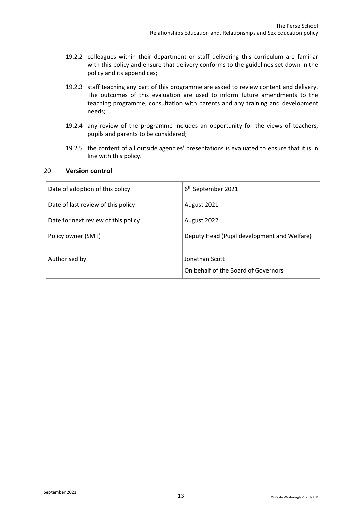- 19.2.2 colleagues within their department or staff delivering this curriculum are familiar with this policy and ensure that delivery conforms to the guidelines set down in the policy and its appendices;
- 19.2.3 staff teaching any part of this programme are asked to review content and delivery. The outcomes of this evaluation are used to inform future amendments to the teaching programme, consultation with parents and any training and development needs;
- 19.2.4 any review of the programme includes an opportunity for the views of teachers, pupils and parents to be considered;
- 19.2.5 the content of all outside agencies' presentations is evaluated to ensure that it is in line with this policy.

## <span id="page-12-0"></span>20 **Version control**

| Date of adoption of this policy     | 6 <sup>th</sup> September 2021                        |
|-------------------------------------|-------------------------------------------------------|
| Date of last review of this policy  | August 2021                                           |
| Date for next review of this policy | August 2022                                           |
| Policy owner (SMT)                  | Deputy Head (Pupil development and Welfare)           |
| Authorised by                       | Jonathan Scott<br>On behalf of the Board of Governors |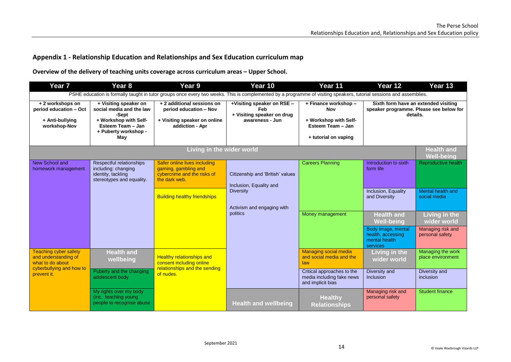## **Appendix 1 - Relationship Education and Relationships and Sex Education curriculum map**

**Overview of the delivery of teaching units coverage across curriculum areas – Upper School.**

<span id="page-13-0"></span>

| Year <sub>7</sub>                                                             | Year <sub>8</sub>                                                                                                                                                   | Year 9                                                                                                                                      | Year 10                                                                            | Year 11                                                                                                  | Year 12                                                                    | Year 13                                                  |  |
|-------------------------------------------------------------------------------|---------------------------------------------------------------------------------------------------------------------------------------------------------------------|---------------------------------------------------------------------------------------------------------------------------------------------|------------------------------------------------------------------------------------|----------------------------------------------------------------------------------------------------------|----------------------------------------------------------------------------|----------------------------------------------------------|--|
|                                                                               | PSHE education is formally taught in tutor groups once every two weeks. This is complemented by a programme of visiting speakers, tutorial sessions and assemblies. |                                                                                                                                             |                                                                                    |                                                                                                          |                                                                            |                                                          |  |
| + 2 workshops on<br>period education - Oct<br>+ Anti-bullying<br>workshop-Nov | + Visiting speaker on<br>social media and the law<br>-Sept<br>+ Workshop with Self-<br>Esteem Team - Jan<br>+ Puberty workshop -<br>May                             | + 2 additional sessions on<br>period education - Nov<br>+ Visiting speaker on online<br>addiction - Apr                                     | +Visiting speaker on RSE -<br>Feb<br>+ Visiting speaker on drug<br>awareness - Jun | + Finance workshop -<br><b>Nov</b><br>+ Workshop with Self-<br>Esteem Team - Jan<br>+ tutorial on vaping | Sixth form have an extended visiting<br>details.                           | speaker programme. Please see below for                  |  |
|                                                                               |                                                                                                                                                                     | Living in the wider world                                                                                                                   |                                                                                    |                                                                                                          |                                                                            | <b>Health and</b><br><b>Well-being</b>                   |  |
| New School and<br>homework management                                         | Respectful relationships<br>including: changing<br>identity, tackling<br>stereotypes and equality.                                                                  | Safer online lives including<br>gaming, gambling and<br>cybercrime and the risks of<br>the dark web.<br><b>Building healthy friendships</b> | Citizenship and 'British' values<br>Inclusion, Equality and<br><b>Diversity</b>    | <b>Careers Planning</b>                                                                                  | Introduction to sixth<br>form life<br>Inclusion, Equality<br>and Diversity | Reproductive health<br>Mental health and<br>social media |  |
|                                                                               |                                                                                                                                                                     |                                                                                                                                             | Activism and engaging with<br>politics                                             | Money management                                                                                         | <b>Health and</b><br><b>Well-being</b>                                     | Living in the<br>wider world                             |  |
|                                                                               |                                                                                                                                                                     |                                                                                                                                             |                                                                                    |                                                                                                          | Body image, mental<br>health, accessing<br>mental health<br>services       | Managing risk and<br>personal safety                     |  |
| <b>Teaching cyber safety</b><br>and understanding of<br>what to do about      | <b>Health and</b><br>wellbeing                                                                                                                                      | <b>Healthy relationships and</b><br>consent including online                                                                                |                                                                                    | <b>Managing social media</b><br>and social media and the<br>law                                          | Living in the<br>wider world                                               | Managing the work<br>place environment                   |  |
| cyberbullying and how to<br>prevent it.                                       | Puberty and the changing<br>adolescent body                                                                                                                         | relationships and the sending<br>of nudes.                                                                                                  |                                                                                    | Critical approaches to the<br>media including fake news<br>and implicit bias                             | Diversity and<br><b>Inclusion</b>                                          | Diversity and<br>inclusion                               |  |
|                                                                               | My rights over my body<br>(inc. teaching young<br>people to recognise abuse                                                                                         |                                                                                                                                             | <b>Health and wellbeing</b>                                                        | <b>Healthy</b><br><b>Relationships</b>                                                                   | Managing risk and<br>personal safety                                       | <b>Student finance</b>                                   |  |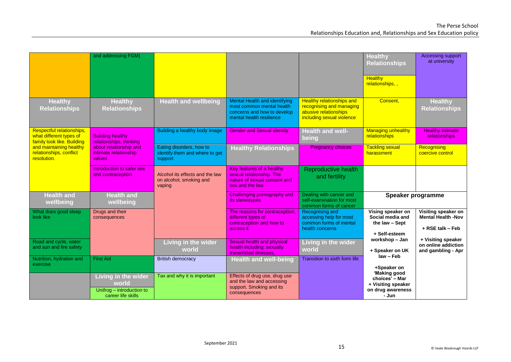|                                                                                    | and addressing FGM)                                                             |                                                                       |                                                                                                                       |                                                                                                                    | <b>Healthy</b><br><b>Relationships</b><br><b>Healthy</b><br>relationships,,        | <b>Accessing support</b><br>at university                              |
|------------------------------------------------------------------------------------|---------------------------------------------------------------------------------|-----------------------------------------------------------------------|-----------------------------------------------------------------------------------------------------------------------|--------------------------------------------------------------------------------------------------------------------|------------------------------------------------------------------------------------|------------------------------------------------------------------------|
| <b>Healthy</b><br><b>Relationships</b>                                             | <b>Healthy</b><br><b>Relationships</b>                                          | <b>Health and wellbeing</b>                                           | Mental Health and identifying<br>most common mental health<br>concerns and how to develop<br>mental health resilience | <b>Healthy relationships and</b><br>recognising and managing<br>abusive relationships<br>including sexual violence | Consent,                                                                           | <b>Healthy</b><br><b>Relationships</b>                                 |
| Respectful relationships,<br>what different types of<br>family look like. Building | <b>Building healthy</b><br>relationships, thinking                              | Building a healthy body image                                         | <b>Gender and Sexual identity</b>                                                                                     | <b>Health and well-</b><br>being                                                                                   | Managing unhealthy<br>relationships                                                | <b>Healthy intimate</b><br>relationships                               |
| and maintaining healthy<br>relationships, conflict<br>resolution.                  | about relationship and<br>intimate relationship<br>values                       | Eating disorders, how to<br>identify them and where to get<br>support | <b>Healthy Relationships</b>                                                                                          | <b>Pregnancy choices</b>                                                                                           | <b>Tackling sexual</b><br>harassment                                               | Recognising<br>coercive control                                        |
|                                                                                    | Introduction to safer sex<br>and contraception                                  | Alcohol its effects and the law<br>on alcohol, smoking and<br>vaping  | Key features of a healthy<br>sexual relationship. The<br>nature of sexual consent and<br>sex and the law              | <b>Reproductive health</b><br>and fertility                                                                        |                                                                                    |                                                                        |
| <b>Health and</b><br>wellbeing                                                     | <b>Health and</b><br>wellbeing                                                  |                                                                       | Challenging pornography and<br>its stereotypes                                                                        | Dealing with cancer and<br>self-examination for most<br>common forms of cancer                                     | Speaker programme                                                                  |                                                                        |
| What does good sleep<br>look like                                                  | Drugs and their<br>consequences                                                 |                                                                       | The reasons for contraception,<br>different types of<br>contraception and how to<br>access it                         | Recognising and<br>accessing help for most<br>common forms of mental<br>health concerns                            | Vising speaker on<br>Social media and<br>the law - Sept<br>+ Self-esteem           | Visiting speaker on<br><b>Mental Health -Nov</b><br>$+$ RSE talk - Feb |
| Road and cycle, water<br>and sun and fire safety                                   |                                                                                 | <b>Living in the wider</b><br>world                                   | Sexual health and physical<br>health including: sexually<br>transmitted illnesses,                                    | Living in the wider<br>world                                                                                       | workshop - Jan<br>+ Speaker on UK<br>law - Feb                                     | + Visiting speaker<br>on online addiction<br>and gambling - Apr        |
| Nutrition, hydration and<br>exercise                                               | <b>First Aid</b>                                                                | <b>British democracy</b>                                              | <b>Health and well-being</b>                                                                                          | Transition to sixth form life                                                                                      | +Speaker on                                                                        |                                                                        |
|                                                                                    | Living in the wider<br>world<br>Unifrog - introduction to<br>career life skills | Tax and why it is important                                           | Effects of drug use, drug use<br>and the law and accessing<br>support. Smoking and its<br>consequences                |                                                                                                                    | 'Making good<br>choices' - Mar<br>+ Visiting speaker<br>on drug awareness<br>- Jun |                                                                        |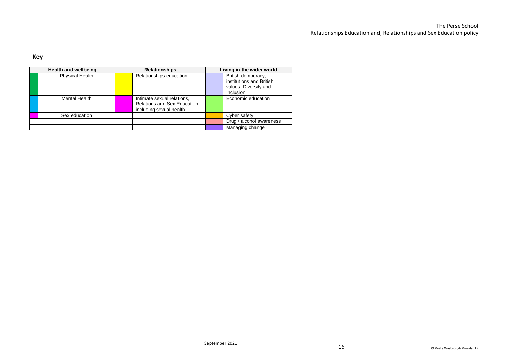**Key**

| <b>Health and wellbeing</b> |                        | <b>Relationships</b>                                                                        | Living in the wider world |                                                                                      |
|-----------------------------|------------------------|---------------------------------------------------------------------------------------------|---------------------------|--------------------------------------------------------------------------------------|
|                             | <b>Physical Health</b> | Relationships education                                                                     |                           | British democracy,<br>institutions and British<br>values, Diversity and<br>Inclusion |
|                             | Mental Health          | Intimate sexual relations,<br><b>Relations and Sex Education</b><br>including sexual health |                           | Economic education                                                                   |
|                             | Sex education          |                                                                                             |                           | Cyber safety                                                                         |
|                             |                        |                                                                                             |                           | Drug / alcohol awareness                                                             |
|                             |                        |                                                                                             |                           | Managing change                                                                      |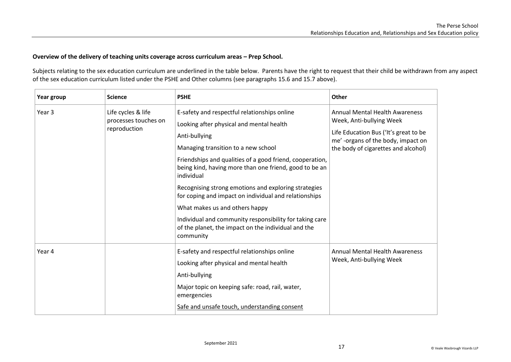#### **Overview of the delivery of teaching units coverage across curriculum areas – Prep School.**

Subjects relating to the sex education curriculum are underlined in the table below. Parents have the right to request that their child be withdrawn from any aspect of the sex education curriculum listed under the PSHE and Other columns (see paragraphs [15.6](#page-10-1) an[d 15.7](#page-10-2) above).

| Year group | <b>Science</b>                       | <b>PSHE</b>                                                                                                                      | Other                                                                       |
|------------|--------------------------------------|----------------------------------------------------------------------------------------------------------------------------------|-----------------------------------------------------------------------------|
| Year 3     | Life cycles & life                   | E-safety and respectful relationships online                                                                                     | <b>Annual Mental Health Awareness</b>                                       |
|            | processes touches on<br>reproduction | Looking after physical and mental health                                                                                         | Week, Anti-bullying Week                                                    |
|            |                                      | Anti-bullying                                                                                                                    | Life Education Bus ('It's great to be<br>me' -organs of the body, impact on |
|            |                                      | Managing transition to a new school                                                                                              | the body of cigarettes and alcohol)                                         |
|            |                                      | Friendships and qualities of a good friend, cooperation,<br>being kind, having more than one friend, good to be an<br>individual |                                                                             |
|            |                                      | Recognising strong emotions and exploring strategies<br>for coping and impact on individual and relationships                    |                                                                             |
|            |                                      | What makes us and others happy                                                                                                   |                                                                             |
|            |                                      | Individual and community responsibility for taking care<br>of the planet, the impact on the individual and the<br>community      |                                                                             |
| Year 4     |                                      | E-safety and respectful relationships online                                                                                     | <b>Annual Mental Health Awareness</b>                                       |
|            |                                      | Looking after physical and mental health                                                                                         | Week, Anti-bullying Week                                                    |
|            |                                      | Anti-bullying                                                                                                                    |                                                                             |
|            |                                      | Major topic on keeping safe: road, rail, water,<br>emergencies                                                                   |                                                                             |
|            |                                      | Safe and unsafe touch, understanding consent                                                                                     |                                                                             |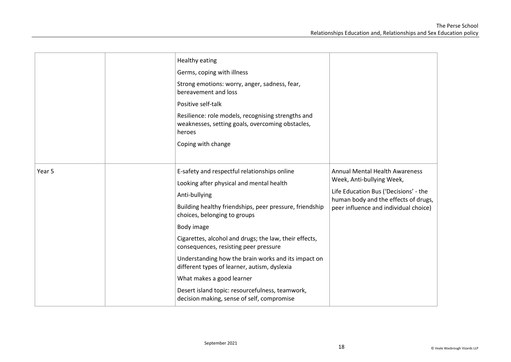|        | <b>Healthy eating</b><br>Germs, coping with illness<br>Strong emotions: worry, anger, sadness, fear,<br>bereavement and loss<br>Positive self-talk<br>Resilience: role models, recognising strengths and<br>weaknesses, setting goals, overcoming obstacles,<br>heroes<br>Coping with change                                                                                                                                                                                                                                                               |                                                                                                                                                                                              |
|--------|------------------------------------------------------------------------------------------------------------------------------------------------------------------------------------------------------------------------------------------------------------------------------------------------------------------------------------------------------------------------------------------------------------------------------------------------------------------------------------------------------------------------------------------------------------|----------------------------------------------------------------------------------------------------------------------------------------------------------------------------------------------|
| Year 5 | E-safety and respectful relationships online<br>Looking after physical and mental health<br>Anti-bullying<br>Building healthy friendships, peer pressure, friendship<br>choices, belonging to groups<br>Body image<br>Cigarettes, alcohol and drugs; the law, their effects,<br>consequences, resisting peer pressure<br>Understanding how the brain works and its impact on<br>different types of learner, autism, dyslexia<br>What makes a good learner<br>Desert island topic: resourcefulness, teamwork,<br>decision making, sense of self, compromise | <b>Annual Mental Health Awareness</b><br>Week, Anti-bullying Week,<br>Life Education Bus ('Decisions' - the<br>human body and the effects of drugs,<br>peer influence and individual choice) |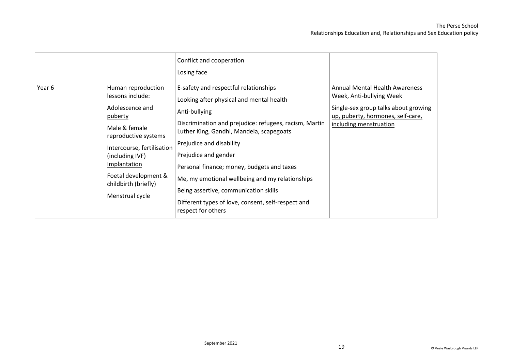|        |                                                                                                                                                                                                                                                   | Conflict and cooperation<br>Losing face                                                                                                                                                                                                                                                                                                                                                                                                                                            |                                                                                                                                                                          |
|--------|---------------------------------------------------------------------------------------------------------------------------------------------------------------------------------------------------------------------------------------------------|------------------------------------------------------------------------------------------------------------------------------------------------------------------------------------------------------------------------------------------------------------------------------------------------------------------------------------------------------------------------------------------------------------------------------------------------------------------------------------|--------------------------------------------------------------------------------------------------------------------------------------------------------------------------|
| Year 6 | Human reproduction<br>lessons include:<br>Adolescence and<br>puberty<br>Male & female<br>reproductive systems<br>Intercourse, fertilisation<br>(including IVF)<br>Implantation<br>Foetal development &<br>childbirth (briefly)<br>Menstrual cycle | E-safety and respectful relationships<br>Looking after physical and mental health<br>Anti-bullying<br>Discrimination and prejudice: refugees, racism, Martin<br>Luther King, Gandhi, Mandela, scapegoats<br>Prejudice and disability<br>Prejudice and gender<br>Personal finance; money, budgets and taxes<br>Me, my emotional wellbeing and my relationships<br>Being assertive, communication skills<br>Different types of love, consent, self-respect and<br>respect for others | <b>Annual Mental Health Awareness</b><br>Week, Anti-bullying Week<br>Single-sex group talks about growing<br>up, puberty, hormones, self-care,<br>including menstruation |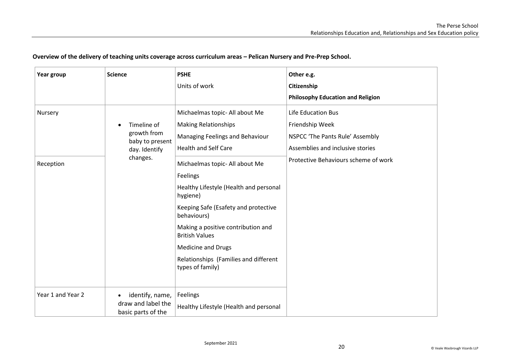| Year group        | <b>Science</b>                                              | <b>PSHE</b>                                                                                      | Other e.g.                                                               |
|-------------------|-------------------------------------------------------------|--------------------------------------------------------------------------------------------------|--------------------------------------------------------------------------|
|                   |                                                             | Units of work                                                                                    | Citizenship<br><b>Philosophy Education and Religion</b>                  |
| Nursery           | Timeline of<br>growth from<br>baby to present               | Michaelmas topic- All about Me<br><b>Making Relationships</b><br>Managing Feelings and Behaviour | Life Education Bus<br>Friendship Week<br>NSPCC 'The Pants Rule' Assembly |
|                   | day. Identify                                               | <b>Health and Self Care</b>                                                                      | Assemblies and inclusive stories                                         |
| Reception         | changes.                                                    | Michaelmas topic- All about Me<br>Feelings                                                       | Protective Behaviours scheme of work                                     |
|                   |                                                             | Healthy Lifestyle (Health and personal<br>hygiene)                                               |                                                                          |
|                   |                                                             | Keeping Safe (Esafety and protective<br>behaviours)                                              |                                                                          |
|                   |                                                             | Making a positive contribution and<br><b>British Values</b>                                      |                                                                          |
|                   |                                                             | <b>Medicine and Drugs</b>                                                                        |                                                                          |
|                   |                                                             | Relationships (Families and different<br>types of family)                                        |                                                                          |
| Year 1 and Year 2 | identify, name,<br>draw and label the<br>basic parts of the | Feelings<br>Healthy Lifestyle (Health and personal                                               |                                                                          |

## **Overview of the delivery of teaching units coverage across curriculum areas – Pelican Nursery and Pre-Prep School.**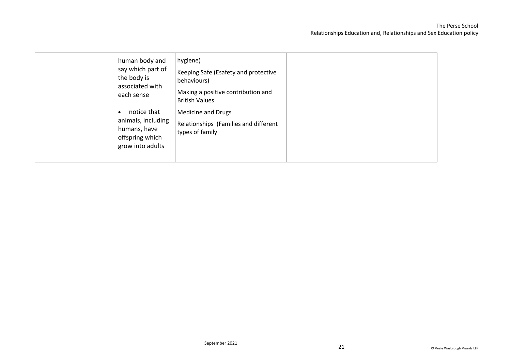| human body and<br>say which part of<br>the body is<br>associated with<br>each sense                   | hygiene)<br>Keeping Safe (Esafety and protective<br>behaviours)<br>Making a positive contribution and<br><b>British Values</b> |  |
|-------------------------------------------------------------------------------------------------------|--------------------------------------------------------------------------------------------------------------------------------|--|
| notice that<br>$\bullet$<br>animals, including<br>humans, have<br>offspring which<br>grow into adults | Medicine and Drugs<br>Relationships (Families and different<br>types of family                                                 |  |